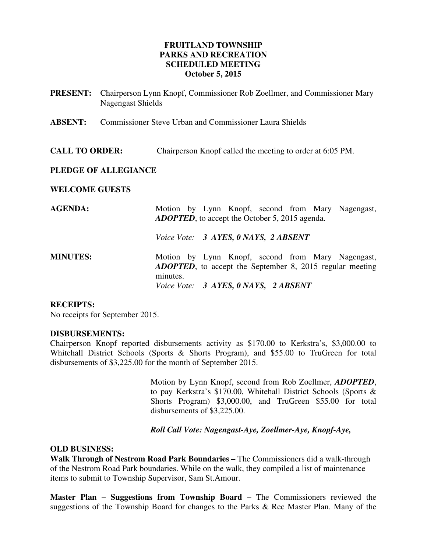# **FRUITLAND TOWNSHIP PARKS AND RECREATION SCHEDULED MEETING October 5, 2015**

- **PRESENT:** Chairperson Lynn Knopf, Commissioner Rob Zoellmer, and Commissioner Mary Nagengast Shields
- **ABSENT:** Commissioner Steve Urban and Commissioner Laura Shields
- **CALL TO ORDER:** Chairperson Knopf called the meeting to order at 6:05 PM.

## **PLEDGE OF ALLEGIANCE**

#### **WELCOME GUESTS**

| <b>AGENDA:</b>  | Motion by Lynn Knopf, second from Mary Nagengast,<br><b>ADOPTED</b> , to accept the October 5, 2015 agenda.                       |
|-----------------|-----------------------------------------------------------------------------------------------------------------------------------|
|                 | Voice Vote: 3 AYES, 0 NAYS, 2 ABSENT                                                                                              |
| <b>MINUTES:</b> | Motion by Lynn Knopf, second from Mary Nagengast,<br><b>ADOPTED</b> , to accept the September 8, 2015 regular meeting<br>minutes. |
|                 | Voice Vote: 3 AYES, 0 NAYS, 2 ABSENT                                                                                              |

## **RECEIPTS:**

No receipts for September 2015.

#### **DISBURSEMENTS:**

Chairperson Knopf reported disbursements activity as \$170.00 to Kerkstra's, \$3,000.00 to Whitehall District Schools (Sports & Shorts Program), and \$55.00 to TruGreen for total disbursements of \$3,225.00 for the month of September 2015.

> Motion by Lynn Knopf, second from Rob Zoellmer, *ADOPTED*, to pay Kerkstra's \$170.00, Whitehall District Schools (Sports & Shorts Program) \$3,000.00, and TruGreen \$55.00 for total disbursements of \$3,225.00.

#### *Roll Call Vote: Nagengast-Aye, Zoellmer-Aye, Knopf-Aye,*

#### **OLD BUSINESS:**

**Walk Through of Nestrom Road Park Boundaries –** The Commissioners did a walk-through of the Nestrom Road Park boundaries. While on the walk, they compiled a list of maintenance items to submit to Township Supervisor, Sam St.Amour.

**Master Plan – Suggestions from Township Board –** The Commissioners reviewed the suggestions of the Township Board for changes to the Parks & Rec Master Plan. Many of the